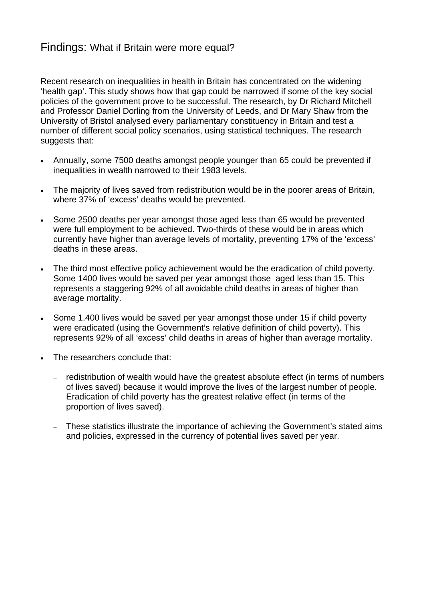## Findings: What if Britain were more equal?

Recent research on inequalities in health in Britain has concentrated on the widening 'health gap'. This study shows how that gap could be narrowed if some of the key social policies of the government prove to be successful. The research, by Dr Richard Mitchell and Professor Daniel Dorling from the University of Leeds, and Dr Mary Shaw from the University of Bristol analysed every parliamentary constituency in Britain and test a number of different social policy scenarios, using statistical techniques. The research suggests that:

- Annually, some 7500 deaths amongst people younger than 65 could be prevented if inequalities in wealth narrowed to their 1983 levels.
- The majority of lives saved from redistribution would be in the poorer areas of Britain, where 37% of 'excess' deaths would be prevented.
- Some 2500 deaths per year amongst those aged less than 65 would be prevented were full employment to be achieved. Two-thirds of these would be in areas which currently have higher than average levels of mortality, preventing 17% of the 'excess' deaths in these areas.
- The third most effective policy achievement would be the eradication of child poverty. Some 1400 lives would be saved per year amongst those aged less than 15. This represents a staggering 92% of all avoidable child deaths in areas of higher than average mortality.
- Some 1.400 lives would be saved per year amongst those under 15 if child poverty were eradicated (using the Government's relative definition of child poverty). This represents 92% of all 'excess' child deaths in areas of higher than average mortality.
- The researchers conclude that:
	- − redistribution of wealth would have the greatest absolute effect (in terms of numbers of lives saved) because it would improve the lives of the largest number of people. Eradication of child poverty has the greatest relative effect (in terms of the proportion of lives saved).
	- − These statistics illustrate the importance of achieving the Government's stated aims and policies, expressed in the currency of potential lives saved per year.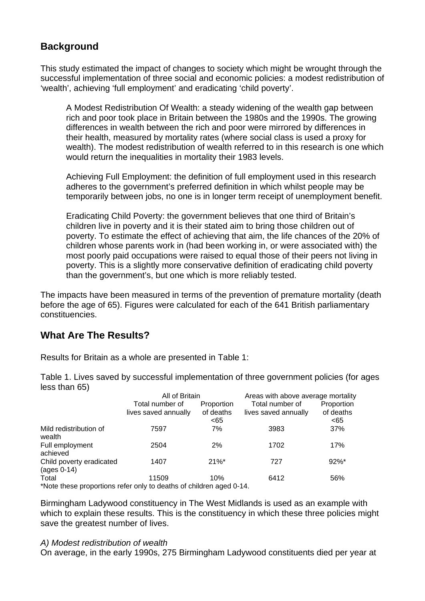# **Background**

This study estimated the impact of changes to society which might be wrought through the successful implementation of three social and economic policies: a modest redistribution of 'wealth', achieving 'full employment' and eradicating 'child poverty'.

A Modest Redistribution Of Wealth: a steady widening of the wealth gap between rich and poor took place in Britain between the 1980s and the 1990s. The growing differences in wealth between the rich and poor were mirrored by differences in their health, measured by mortality rates (where social class is used a proxy for wealth). The modest redistribution of wealth referred to in this research is one which would return the inequalities in mortality their 1983 levels.

Achieving Full Employment: the definition of full employment used in this research adheres to the government's preferred definition in which whilst people may be temporarily between jobs, no one is in longer term receipt of unemployment benefit.

Eradicating Child Poverty: the government believes that one third of Britain's children live in poverty and it is their stated aim to bring those children out of poverty. To estimate the effect of achieving that aim, the life chances of the 20% of children whose parents work in (had been working in, or were associated with) the most poorly paid occupations were raised to equal those of their peers not living in poverty. This is a slightly more conservative definition of eradicating child poverty than the government's, but one which is more reliably tested.

The impacts have been measured in terms of the prevention of premature mortality (death before the age of 65). Figures were calculated for each of the 641 British parliamentary constituencies.

# **What Are The Results?**

Results for Britain as a whole are presented in Table 1:

Table 1. Lives saved by successful implementation of three government policies (for ages less than 65)

|                                                                     | All of Britain                          |                                | Areas with above average mortality      |                                 |
|---------------------------------------------------------------------|-----------------------------------------|--------------------------------|-----------------------------------------|---------------------------------|
|                                                                     | Total number of<br>lives saved annually | Proportion<br>of deaths<br><65 | Total number of<br>lives saved annually | Proportion<br>of deaths<br>< 65 |
| Mild redistribution of<br>wealth                                    | 7597                                    | 7%                             | 3983                                    | 37%                             |
| Full employment<br>achieved                                         | 2504                                    | 2%                             | 1702                                    | 17%                             |
| Child poverty eradicated<br>$\left( \text{ages } 0\n-14 \right)$    | 1407                                    | $21\%$ <sup>*</sup>            | 727                                     | $92\%$ *                        |
| Total                                                               | 11509                                   | 10%                            | 6412                                    | 56%                             |
| *Note these proportions refer only to deaths of children aged 0-14. |                                         |                                |                                         |                                 |

Birmingham Ladywood constituency in The West Midlands is used as an example with which to explain these results. This is the constituency in which these three policies might save the greatest number of lives.

#### *A) Modest redistribution of wealth*

On average, in the early 1990s, 275 Birmingham Ladywood constituents died per year at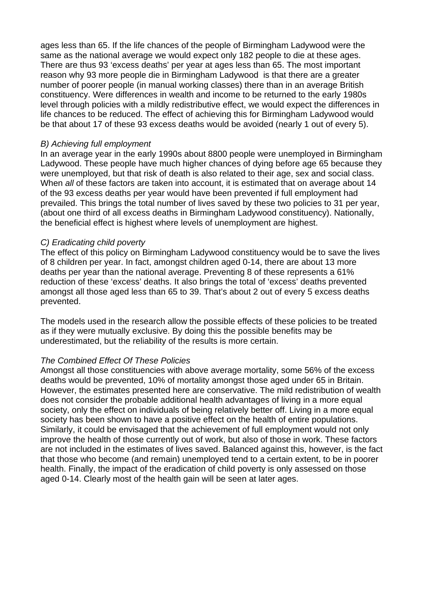ages less than 65. If the life chances of the people of Birmingham Ladywood were the same as the national average we would expect only 182 people to die at these ages. There are thus 93 'excess deaths' per year at ages less than 65. The most important reason why 93 more people die in Birmingham Ladywood is that there are a greater number of poorer people (in manual working classes) there than in an average British constituency. Were differences in wealth and income to be returned to the early 1980s level through policies with a mildly redistributive effect, we would expect the differences in life chances to be reduced. The effect of achieving this for Birmingham Ladywood would be that about 17 of these 93 excess deaths would be avoided (nearly 1 out of every 5).

#### *B) Achieving full employment*

In an average year in the early 1990s about 8800 people were unemployed in Birmingham Ladywood. These people have much higher chances of dying before age 65 because they were unemployed, but that risk of death is also related to their age, sex and social class. When *all* of these factors are taken into account, it is estimated that on average about 14 of the 93 excess deaths per year would have been prevented if full employment had prevailed. This brings the total number of lives saved by these two policies to 31 per year, (about one third of all excess deaths in Birmingham Ladywood constituency). Nationally, the beneficial effect is highest where levels of unemployment are highest.

### *C) Eradicating child poverty*

The effect of this policy on Birmingham Ladywood constituency would be to save the lives of 8 children per year. In fact, amongst children aged 0-14, there are about 13 more deaths per year than the national average. Preventing 8 of these represents a 61% reduction of these 'excess' deaths. It also brings the total of 'excess' deaths prevented amongst all those aged less than 65 to 39. That's about 2 out of every 5 excess deaths prevented.

The models used in the research allow the possible effects of these policies to be treated as if they were mutually exclusive. By doing this the possible benefits may be underestimated, but the reliability of the results is more certain.

### *The Combined Effect Of These Policies*

Amongst all those constituencies with above average mortality, some 56% of the excess deaths would be prevented, 10% of mortality amongst those aged under 65 in Britain. However, the estimates presented here are conservative. The mild redistribution of wealth does not consider the probable additional health advantages of living in a more equal society, only the effect on individuals of being relatively better off. Living in a more equal society has been shown to have a positive effect on the health of entire populations. Similarly, it could be envisaged that the achievement of full employment would not only improve the health of those currently out of work, but also of those in work. These factors are not included in the estimates of lives saved. Balanced against this, however, is the fact that those who become (and remain) unemployed tend to a certain extent, to be in poorer health. Finally, the impact of the eradication of child poverty is only assessed on those aged 0-14. Clearly most of the health gain will be seen at later ages.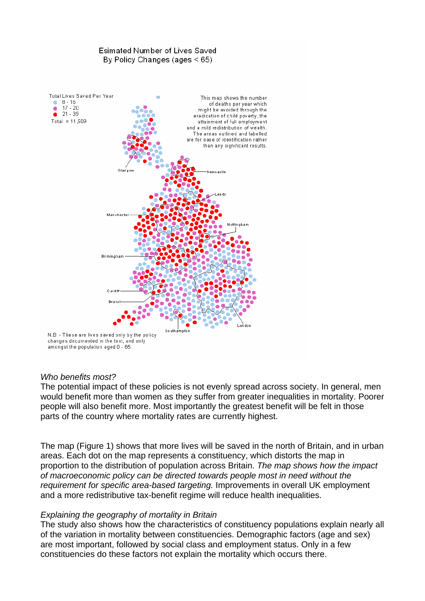# Esimated Number of Lives Saved By Policy Changes (ages  $\leq 65$ ) Total Lives Saved Per Year This map shows the number  $8 - 16$ <br> $17 - 20$ of deaths per year which might be avoided through the  $21 - 39$ eradication of child poverty, the Total =  $11.509$ attainment of full employment and a mild redistribution of wealth. The areas outlined and labelled are for ease of identification rather than any significant results. Niemie alette Manchest Birminghar Cardit **Bristo** London South ampton N.B. - These are lives saved only by the policy

changes documented in the text, and only amongst the population aged 0 - 65.

### *Who benefits most?*

The potential impact of these policies is not evenly spread across society. In general, men would benefit more than women as they suffer from greater inequalities in mortality. Poorer people will also benefit more. Most importantly the greatest benefit will be felt in those parts of the country where mortality rates are currently highest.

The map (Figure 1) shows that more lives will be saved in the north of Britain, and in urban areas. Each dot on the map represents a constituency, which distorts the map in proportion to the distribution of population across Britain. *The map shows how the impact of macroeconomic policy can be directed towards people most in need without the requirement for specific area-based targeting.* Improvements in overall UK employment and a more redistributive tax-benefit regime will reduce health inequalities.

### *Explaining the geography of mortality in Britain*

The study also shows how the characteristics of constituency populations explain nearly all of the variation in mortality between constituencies. Demographic factors (age and sex) are most important, followed by social class and employment status. Only in a few constituencies do these factors not explain the mortality which occurs there.